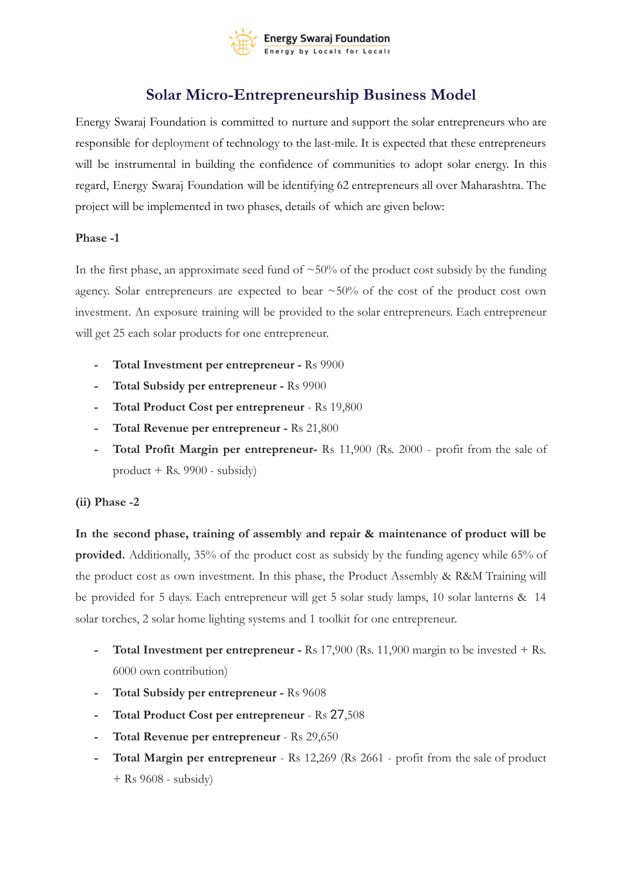

## **Solar Micro-Entrepreneurship Business Model**

Energy Swaraj Foundation is committed to nurture and support the solar entrepreneurs who are responsible for deployment of technology to the last-mile. It is expected that these entrepreneurs will be instrumental in building the confidence of communities to adopt solar energy. In this regard, Energy Swaraj Foundation will be identifying 62 entrepreneurs all over Maharashtra. The project will be implemented in two phases, details of which are given below:

## **Phase -1**

In the first phase, an approximate seed fund of  $\sim 50\%$  of the product cost subsidy by the funding agency. Solar entrepreneurs are expected to bear  $\sim$  50% of the cost of the product cost own investment. An exposure training will be provided to the solar entrepreneurs. Each entrepreneur will get 25 each solar products for one entrepreneur.

- **- Total Investment per entrepreneur -** Rs 9900
- **- Total Subsidy per entrepreneur -** Rs 9900
- **- Total Product Cost per entrepreneur** Rs 19,800
- **- Total Revenue per entrepreneur -** Rs 21,800
- **- Total Profit Margin per entrepreneur-** Rs 11,900 (Rs. 2000 profit from the sale of product + Rs. 9900 - subsidy)

## **(ii) Phase -2**

**In the second phase, training of assembly and repair & maintenance of product will be provided.** Additionally, 35% of the product cost as subsidy by the funding agency while 65% of the product cost as own investment. In this phase, the Product Assembly & R&M Training will be provided for 5 days. Each entrepreneur will get 5 solar study lamps, 10 solar lanterns & 14 solar torches, 2 solar home lighting systems and 1 toolkit for one entrepreneur.

- **- Total Investment per entrepreneur -** Rs 17,900 (Rs. 11,900 margin to be invested + Rs. 6000 own contribution)
- **- Total Subsidy per entrepreneur -** Rs 9608
- **- Total Product Cost per entrepreneur** Rs 27,508
- **- Total Revenue per entrepreneur** Rs 29,650
- **- Total Margin per entrepreneur** Rs 12,269 (Rs 2661 profit from the sale of product + Rs 9608 - subsidy)